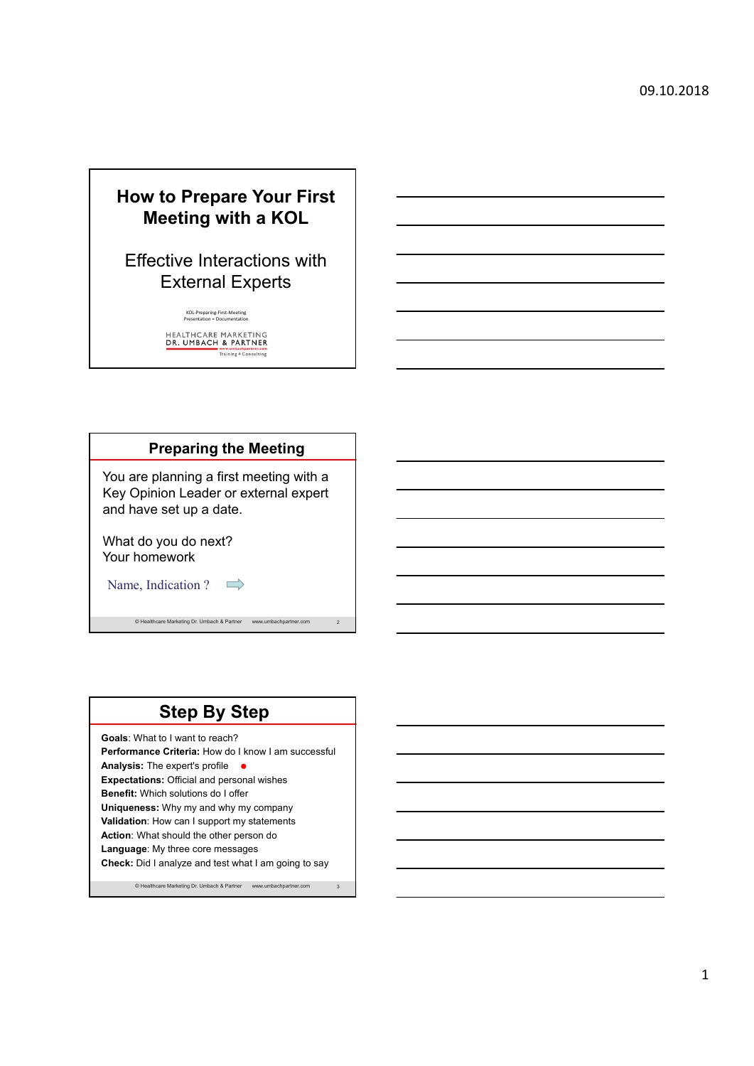## **How to Prepare Your First Meeting with a KOL**

## Effective Interactions with External Experts

KOL‐Preparing‐First‐Meeting Presentation = Documentation

HEALTHCARE MARKETING<br>DR. UMBACH & PARTNER<br>Training + Consulting

| <b>Preparing the Meeting</b>                                                                                |                |
|-------------------------------------------------------------------------------------------------------------|----------------|
| You are planning a first meeting with a<br>Key Opinion Leader or external expert<br>and have set up a date. |                |
| What do you do next?<br>Your homework                                                                       |                |
| Name, Indication?<br>$\implies$                                                                             |                |
| © Healthcare Marketing Dr. Umbach & Partner<br>www.umbachpartner.com                                        | $\overline{2}$ |

# **Step By Step**

**Goals**: What to I want to reach? **Performance Criteria:** How do I know I am successful Analysis: The expert's profile **● Expectations:** Official and personal wishes **Benefit:** Which solutions do I offer **Uniqueness:** Why my and why my company **Validation**: How can I support my statements **Action**: What should the other person do **Language**: My three core messages **Check:** Did I analyze and test what I am going to say

© Healthcare Marketing Dr. Umbach & Partner www.umbachpartner.com 3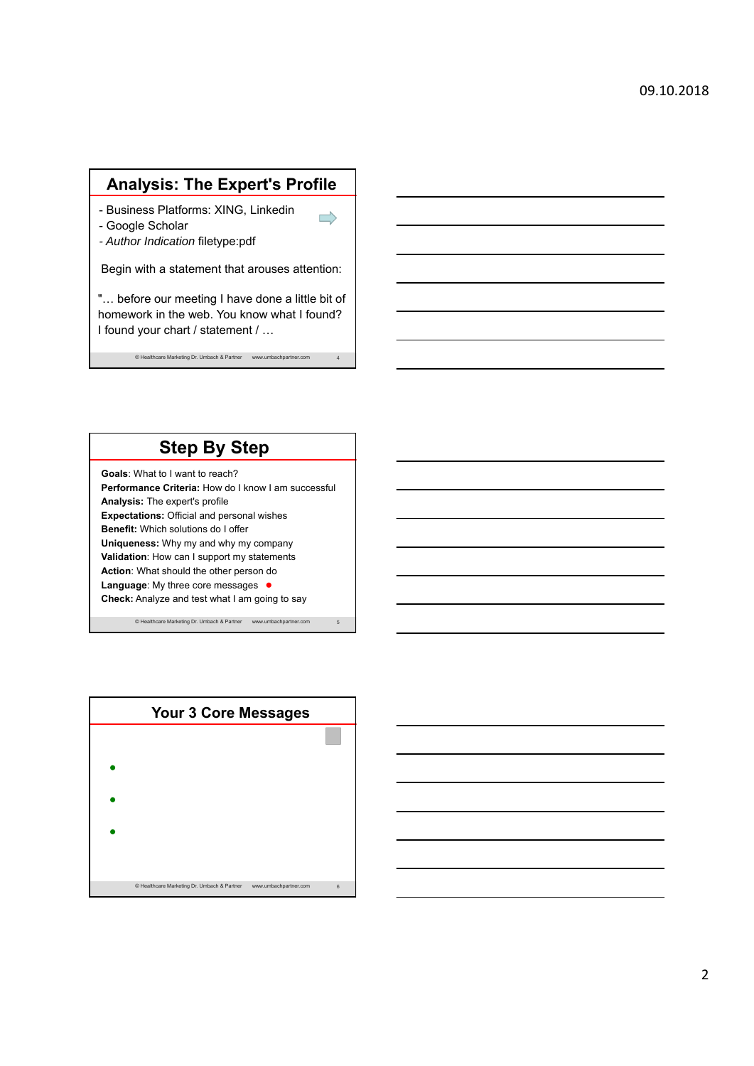### **Analysis: The Expert's Profile**

 $\rightarrow$ 

- Business Platforms: XING, Linkedin
- Google Scholar
- *Author Indication* filetype:pdf

Begin with a statement that arouses attention:

"… before our meeting I have done a little bit of homework in the web. You know what I found? I found your chart / statement / …

© Healthcare Marketing Dr. Umbach & Partner www.umbachpartner.com 4

## **Step By Step**

**Goals**: What to I want to reach? **Performance Criteria:** How do I know I am successful **Analysis:** The expert's profile **Expectations:** Official and personal wishes **Benefit:** Which solutions do I offer **Uniqueness:** Why my and why my company **Validation**: How can I support my statements **Action**: What should the other person do **Language:** My three core messages ● **Check:** Analyze and test what I am going to say

© Healthcare Marketing Dr. Umbach & Partner www.umbachpartner.com 5